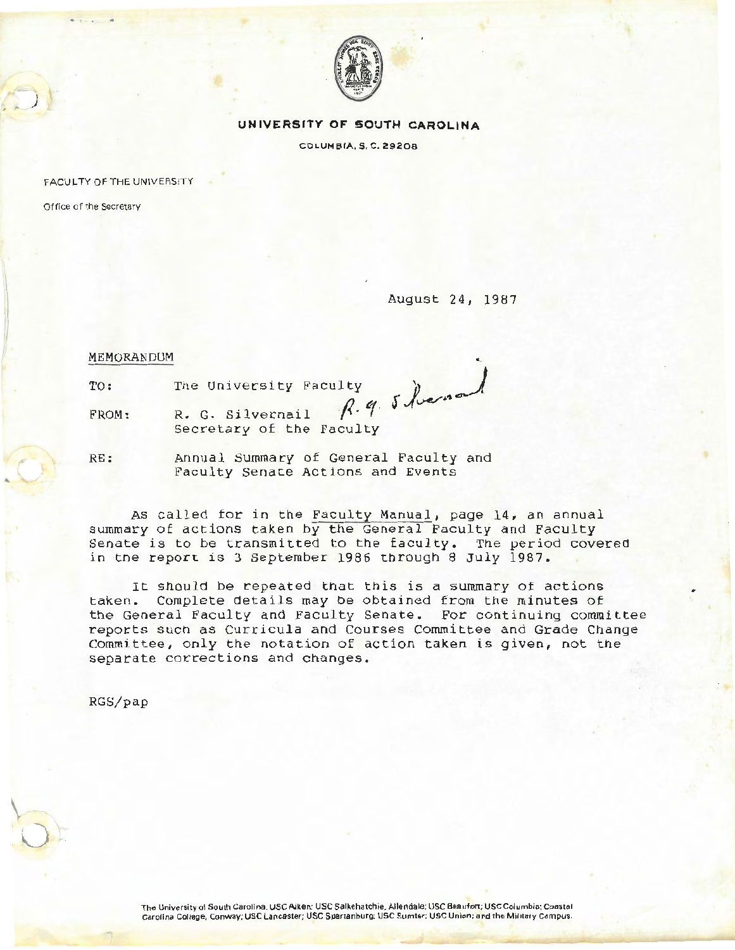

## **UNIVERSITY OF SOUTH CAROLINA**

COLUM51A, \$. C. 29206

FACULTY OF THE UNIVERSITY

Office of the Secretary

i )

August 24, 1987

MEMORANDUM

TO:

• .. The University Faculty 8 found

FROM: R. G. Silvernail Secretary of the Faculty

RE: Annual Summary of General Faculty and Faculty Senate Actions and Events

As called for in the Faculty Manual, page 14, an annual summary of actions taken by the General Faculty and Faculty Senate is to be transmitted to the faculty. The period covered in ·tne report is 3 September 1986 through 8 July 1987.

It should be repeated that this is a summary of actions taken. Complete details may be obtained from the minutes of the General Faculty and Faculty Senate. For continuing committee reports such as Curricula and Courses Committee and Grade Change Committee, only the notation of action taken is given, not the separate corrections and changes.

RGS/pap

 $\downarrow$ 

u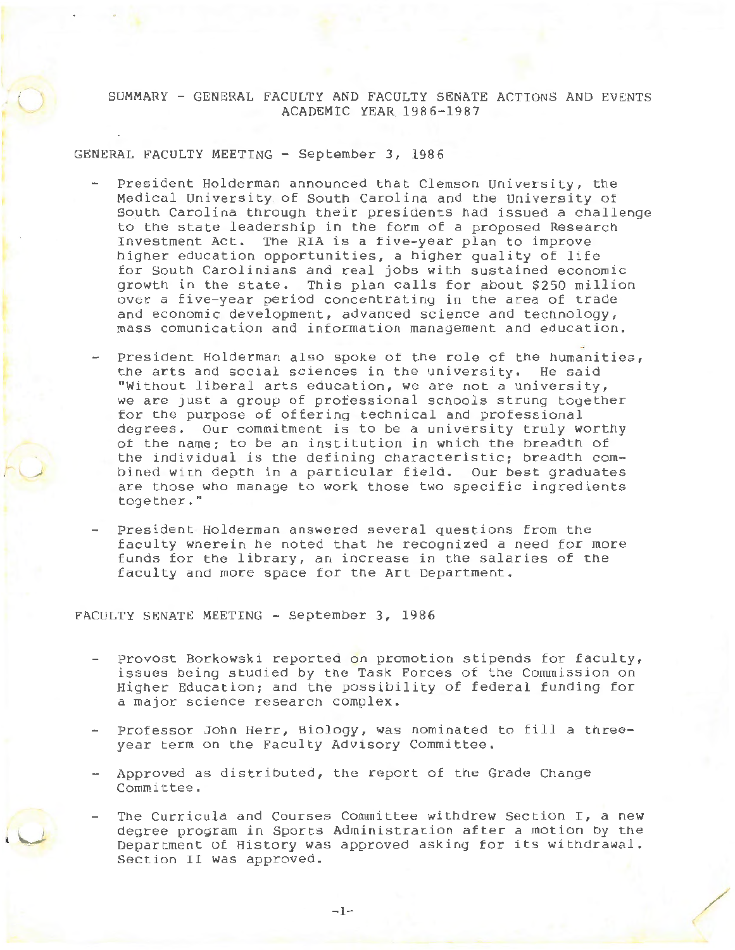SUMMARY - GENERAL FACULTY AND FACULTY S8NATE ACTIONS AND EVENTS ACADEMIC YEAR 1986-1987

GENERAL FACULTY MEETING - September 3, 1986

- President Holderman announced that Clemson University, the Medical University of South Carolina and the University of South Carolina through their presidents had issued a challenge to the state leadership in the form of a proposed Research Investment Act. The RIA is a five-year plan to improve higher education opportunities, a higher quality of life for South Carolinians and real jobs with sustained economic growth in the state. This plan calls for about \$250 million over a five-year period concentrating in the area of trade and economic development, advanced science and technology, mass comunication and information management and education.
- President Holderman also spoke of the role of the humanities, the arts and social sciences in the university. He said "Without liberal arts education, we are not a university, we are just a group of professional schools strung together for the purpose of offering technical and professional degrees. Our commitment is to be a university truly worthy of the name; to be an institution in which the breadth of the individual is the defining characteristic; breadth combined with depth in a particular field. Our best graduates are those who manage to work those two specific ingredients together."
- President Holderman answered several questions from the faculty wherein he noted that he recognized a need for more funds for the library, an increase in the salaries of the faculty and more space for the Art Department.

FACULTY SENATE MEETING - September 3, 1986

l \....-

- Provost Borkowski reported on promotion stipends for faculty, issues being studied by the Task Forces of the Commission on Higher Education; and the possibility of federal funding for a major science research complex.
- Professor John Herr, Biology, was nominated to fill a threeyear term on the Faculty Advisory Committee.
- Approved as distributed, the report of the Grade Change Committee.
- The Curricula and Courses Committee withdrew Section I, a new degree program in Sports Administration after a motion by the Department *oE* History was approved asking for its withdrawal. Section II was approved.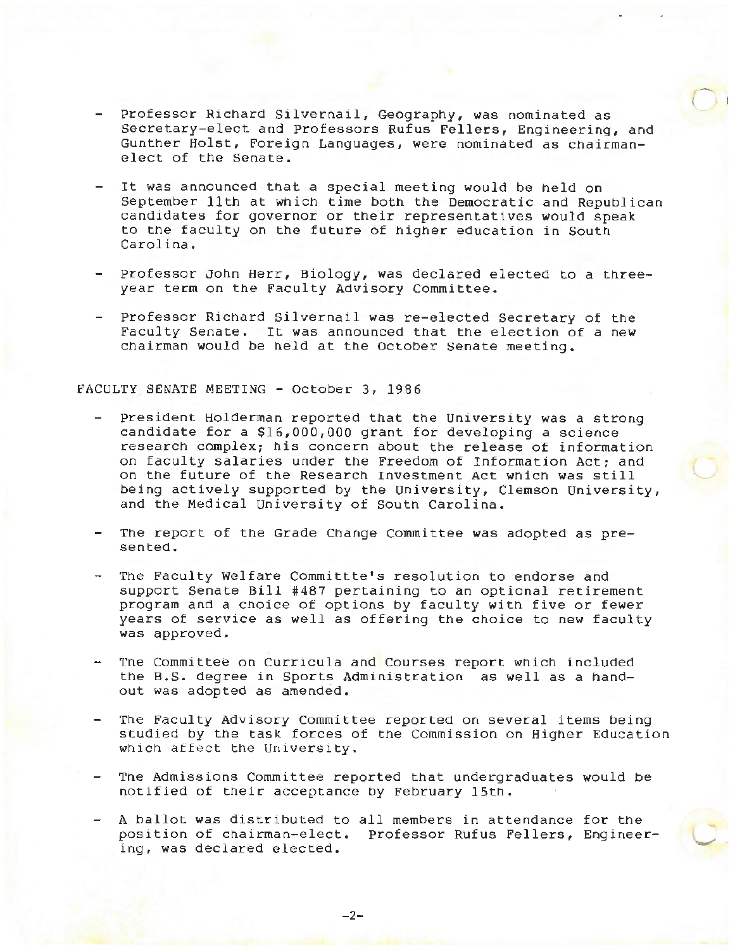- Professor Richard Silvernail, Geography, was nominated as secretary-elect and Professors Rufus Fellers, Engineering, and Gunther Holst, Foreign Languages, were nominated as chairmanelect of the Senate.
- It was announced tnat a special meeting would be held on September 11th at which time both the Democratic and Republican candidates for governor or their representatives would speak to the faculty on the future of higher education in Soutn Carolina.
- Professor John Herr, Biology, was declared elected to a threeyear term on the Faculty Advisory Committee.
- Professor Richard Silvernail was re-elected Secretary of the Faculty Senate. It was announced that the election of a new chairman would be held at the October Senate meeting.

## FACULTY.SENATE MEETING - October 3, 1986

- President Holderman reported that the University was a strong candidate for a \$16,000,000 grant for developing a science research complex; his concern about the release of information on faculty salaries under the Freedom of Information Act; and on the future of the Research Investment Act which was still being actively supported by the University, Clemson University, and tne Medical University of south Carolina.
- The report of the Grade Change Committee was adopted as presented.
- The Faculty Welfare Committte's resolution to endorse and support Senate Bill #487 pertaining to an optional retirement program and a choice of options by faculty with five or fewer years of service as well as offering the choice to new faculty was approved.
- Tne Committee on Curricula and Courses report which included the B.S. degree in Sports Administration as well as a handout was adopted as amended.
- The Faculty Advisory Committee reported on several items being studied by the task forces of the Commission on Higher Education which affect the University.
- The Admissions Committee reported that undergraduates would be notified of their acceptance by February 15th.
- A ballot was distributed to all members in attendance for the position of chairman-elect. Professor Rufus Fellers, Engineering, was declared elected.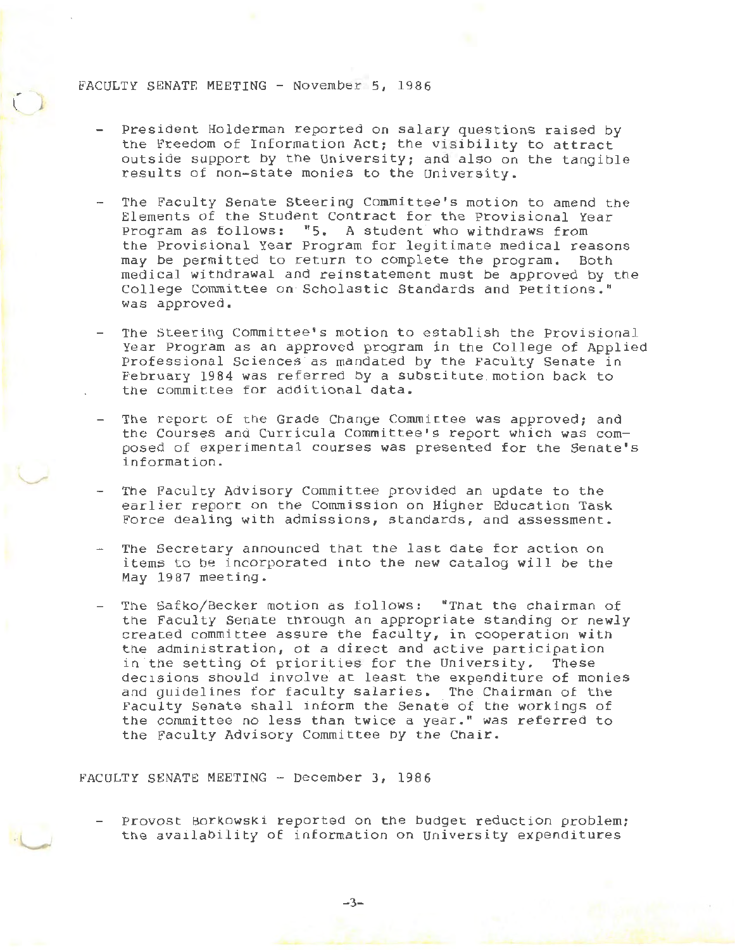## FACULTY SENATE MEETING - November 5, 1986

- President Holderman reported on salary questions raised by the Freedom of Information Act; the visibility to attract outside support by the University; and also on the tangible results of non-state monies to the University.
- The Faculty Senate Steering Committee's motion to amend the Elements of the Student Contract for the Provisional Year Program as follows: "5. A student who withdraws from the Provisional Year Program for legitimate medical reasons may be permitted to return to complete the program. Both medical withdrawal and reinstatement must be approved by the College Committee on Scholastic Standards and Petitions." was approved.
- The Steering Committee's motion to establish the Provisional Year Program as an approved program in the College of Applied Professional Sciences as mandated by the Faculty Senate in February 1984 was referred by a substitute.motion back to the committee for additional data.
- The report of the Grade Change Committee was approved; and the Courses and Curricula Committee's report which was composed of experimental courses was presented for the Senate's information.
- The Faculty Advisory Committee provided an update to the earlier report on the Commission on Higher Education Task Force dealing with admissions, standards, and assessment.
- The Secretary announced that the last date for action on items to be incorporated into the new catalog will be the May 1987 meeting.
- The Safko/Becker motion as follows: "That the chairman of the Faculty Senate through an appropriate standing or newly created committee assure the faculty, in cooperation with the administration, *ot* a direct and active participation in the setting of priorities for the University. These decisions should involve at least the expenditure of monies and guidelines for faculty salaries. The Chairman of the Faculty Senate shall intorm the Senate of the workings of the committee no less than twice a year." was referred to the Faculty Advisory Committee by the Chair.

FACULTY SENATE MEETING - December 3, 1986



 $\circ$ 

Provost Borkowski reported on the budget reduction problem; the availability of information on university expenditures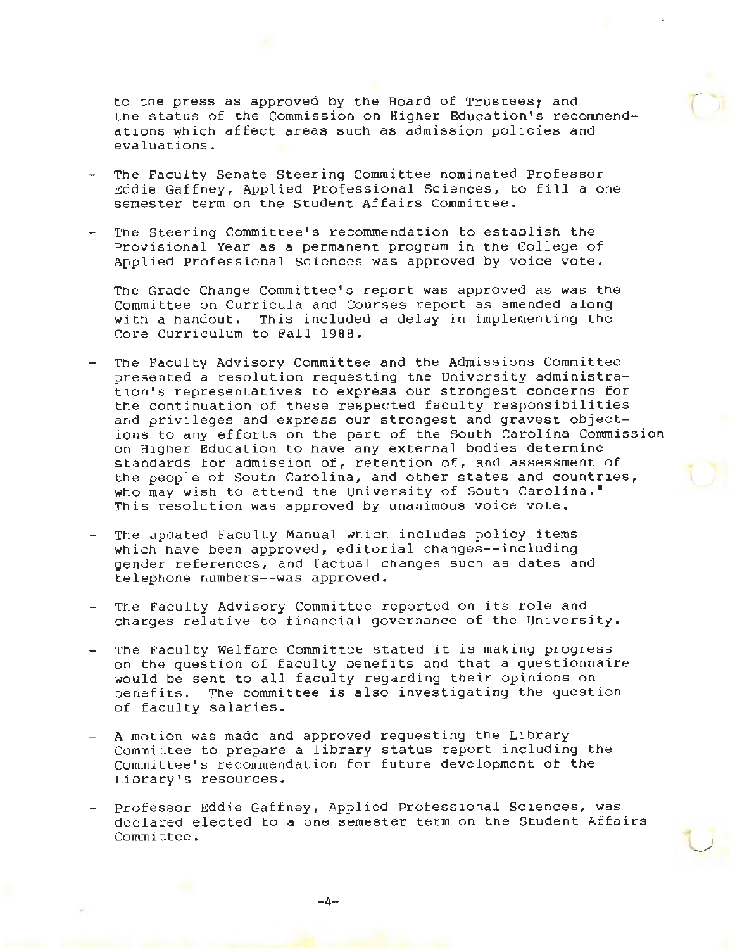to the press as approved by the Board of Trustees; and tne status of the Commission on Higher Education's recommendations which affect areas such as admission policies and evaluations.

- The Faculty senate Steering Committee nominated Professor Eddie Gaffney, Applied Professional Sciences, to fill a one semester term on the Student Affairs Committee.
- The Steering Committee's recommendation to establish the Provisional Year as a permanent program in the College of Applied Professional Sciences was approved by voice vote.
- The Grade Change Committee's report was approved as was the Committee on Curricula and Courses report as amended along with a handout. This included a delay in implementing the Core Curriculum to Fall 1988.
- The Faculty Advisory Committee and the Admissions Committee presented a resolution requesting tne University administration's representatives to express our strongest concerns for the continuation of these respected faculty responsibilities and privileges and express our strongest and gravest objections to any efforts on the part of the South Carolina Commission on Higher Education to have any external bodies determine standards for admission of, retention of, and assessment of the people *ot* Soutn Carolina, and other states and countries, who may wisn to attend the University of South Carolina." This resolution was approved by unanimous voice vote.
- Tne updated Faculty Manual which includes policy items which have been approved, editorial changes--including gender references, and tactual changes such as dates and telephone numbers--was approved.
- The Faculty Advisory Committee reported on its role and charges relative to financial governance of the University.
- The Faculty Welfare Committee stated it is making progress on the question of faculty benefits and that a questionnaire would be sent to all faculty regarding their opinions on benefits. The committee is also investigating the question of faculty salaries.
- A motion was made and approved requesting tne Library Committee to prepare a library status report including the Committee's recommendation for future development of the Library's resources.
- Professor Eddie Gaffney, Applied Professional Sciences, was declared elected to a one semester term on the Student Affairs Committee.

 $\cup$ 

 $-4-$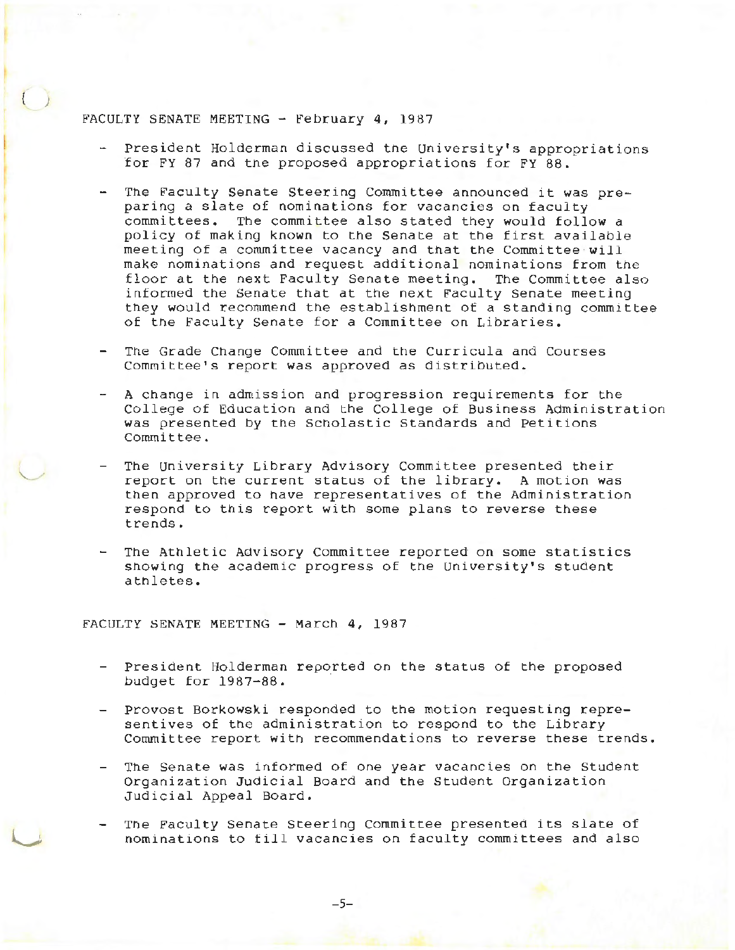## FACULTY SENATE MEETING - February 4, 1987

)

- President Holderman discussed the University's appropriations for FY 87 and tne proposed appropriations for FY 88.
- The Faculty Senate Steering Committee announced it was preparing a slate of nominations for vacancies on faculty committees. The committee also stated they would follow a policy of making known to the Senate at the first available meeting of a committee vacancy and that the Committee will make nominations and request additional nominations from the floor at the next Faculty Senate meeting. The Committee also informed the Senate that at the next Faculty Senate meeting they would recommend the establishment of a standing committee of tne Faculty Senate for a Committee on Libraries.
- The Grade Change Committee and the Curricula and Courses Committee's report was approved as distributed.
- A change in admission and progression requirements for the College of Education and the College ot Business Administration was presented by the Scholastic Standards and Petitions Committee.
- The University Library Advisory Committee presented their report on the current status of the library. A motion was then approved to have representatives *ot* the Administration respond to this report with some plans to reverse these trends.
- The Athletic Advisory Committee reported on some statistics showing the academic progress of tne University's student atnletes.

FACULTY SENATE MEETING - March 4, 1987

- President Holderman reported on the status of the proposed budget for 1987-88.
- Provost Borkowski responded to the motion requesting representives of tne administration to respond to the Library Committee report with recommendations to reverse these trends.
- The Senate was informed of one year vacancies on the Student Organization Judicial Board and the Student Organization Judicial Appeal Board.
- The Faculty Senate Steering Committee presented its slate of nominations to till vacancies on faculty committees and also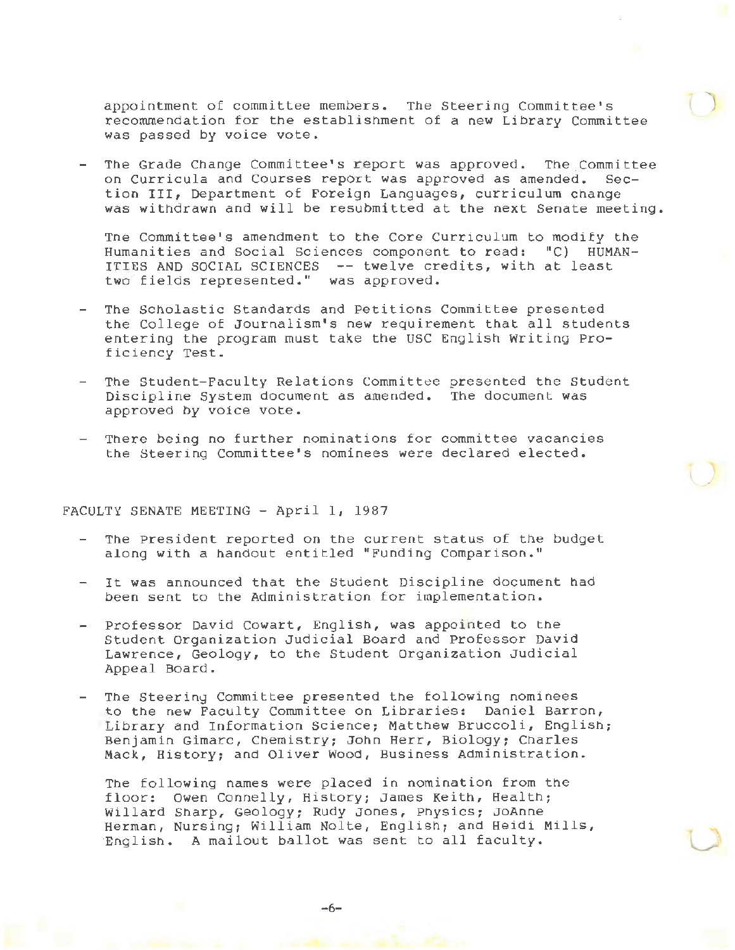appointment of committee members. The Steering Committee's  $r$  recommendation for the establishment of a new Library Committee was passed by voice vote.

The Grade Change Committee's report was approved. The Committee on Curricula and Courses report was approved as amended. Section III, Department of Foreign Languages, curriculum change was withdrawn and will be resubmitted at the next Senate meeting.

Tne Committee's amendment to the Core Curriculum to modify the Humanities and social Sciences component to read: "C) HUMAN-ITIES AND SOCIAL SCIENCES -- twelve credits, with at least two fields represented." was approved.

- The Scholastic Standards and Petitions Committee presented the College of Journalism's new requirement that all students entering the program must take the USC English Writing Proficiency Test.
- The Student-Faculty Relations Committee presented the Student Discipline System document as amended. The document was approved by voice vote.
- There being no further nominations for committee vacancies the Steering Committee's nominees were declared elected.

FACULTY SENATE MEETING - April 1, 1987

- The President reported on the current status of the budget along with a handout entitled "Funding Comparison."
- It was announced that the Student Discipline document had been sent to the Administration tor implementation.
- Professor David Cowart, English, was appointed to the Student organization Judicial Board and Professor David Lawrence, Geology, to the Student Organization Judicial Appeal Board.
- The Steering Committee presented the following nominees to the new Faculty Committee on Libraries: Daniel Barron, Library and Information Science; Matthew Bruccoli, English; Benjamin Gimarc, Chemistry; John Herr, Biology; Charles Mack, History; and Oliver Wood, Business Administration.

The following names were placed in nomination from the floor: Owen Connelly, History; James Keith, Health; Willard Sharp, Geology; Rudy Jones, Physics; JoAnne Herman, Nursing; William Nolte, English; and Heidi Mills, English. A mailout ballot was sent to all faculty.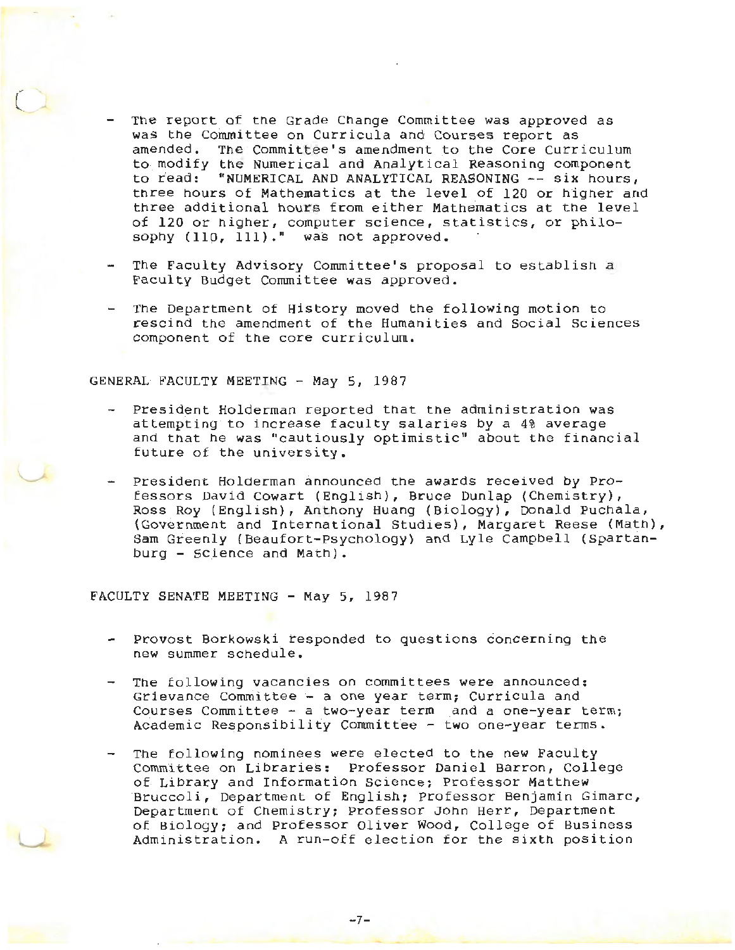- The report of the Grade Change Committee was approved as was the Committee on Curricula and Courses report as amended. The Committee's amendment to the Core Curriculum to modify the Numerical and Analytical Reasoning component to read: "NUMERICAL AND ANALYTICAL REASONING -- six hours, three hours of Mathematics at the level of 120 or higher and three additional hours from either Mathematics at the level of 120 or higher, computer science, statistics, or philosophy  $(110, 111)$ ." was not approved.
- The Faculty Advisory Committee's proposal to establish a Faculty Budget Committee was approved.
- The Department of History moved the following motion to rescind the amendment of the Humanities and Social Sciences component of the core curriculum.

GENERAL FACULTY MEETING - May 5, 1987

*c* 

u

- President Holderman reported that the administration was attempting to increase faculty salaries by a 4% average and that he was "cautiously optimistic" about the financial future of the university.
- President Holderman announced the awards received by Professors David Cowart (English), Bruce Dunlap (Chemistry), Ross Roy (English}, Anthony Huang (Biology), Donald Puchala, (Government and International Studies), Margaret Reese (Math), Sam Greenly (Beaufort-Psychology) and Lyle Campbell (Spartanburg - Science and Math).

FACULTY SENATE MEETING - May 5, 1987

- Provost Borkowski responded to questions concerning the new summer scnedule.
- The following vacancies on committees were announced: Grievance Committee - a one year term; Curricula and Courses Committee - a two-year term and a one-year term; Academic Responsibility Committee - two one-year terms.
- The following nominees were elected to the new Faculty Committee on Libraries: Professor Daniel Barron, College of Library and Information Science: Professor Matthew Bruccoli, Department of English: Professor Benjamin Gimarc, Department of Chemistry; Professor John Herr, Department of Biology; and Professor Oliver Wood, College of Business Administration. A run-off election for the sixth position